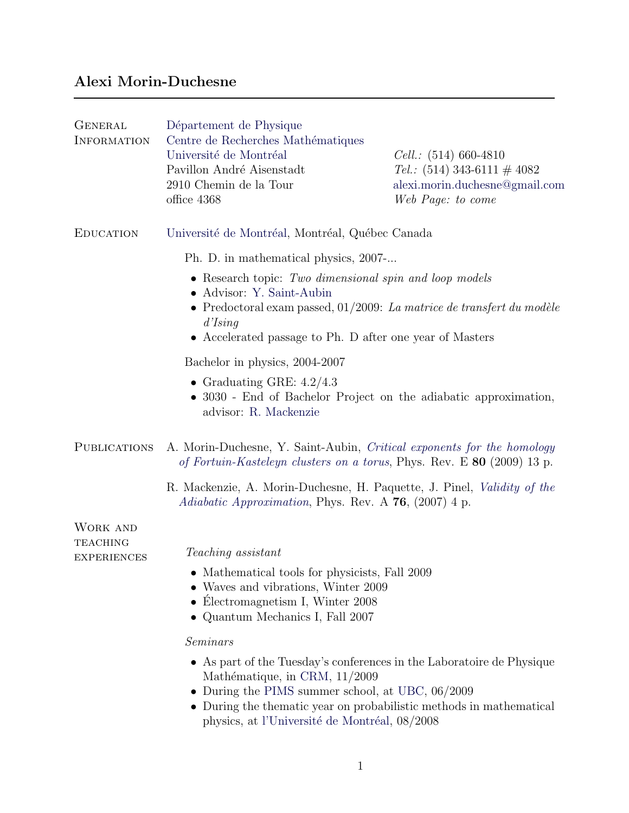# Alexi Morin-Duchesne

| <b>GENERAL</b><br><b>INFORMATION</b>                     | Département de Physique<br>Centre de Recherches Mathématiques<br>Université de Montréal<br>Pavillon André Aisenstadt<br>2910 Chemin de la Tour<br>office 4368                                                                                         | <i>Cell.</i> : $(514)$ 660-4810<br><i>Tel.</i> : $(514)$ 343-6111 $\#$ 4082<br>alexi.morin.duchesne@gmail.com<br>Web Page: to come |
|----------------------------------------------------------|-------------------------------------------------------------------------------------------------------------------------------------------------------------------------------------------------------------------------------------------------------|------------------------------------------------------------------------------------------------------------------------------------|
| <b>EDUCATION</b>                                         | Université de Montréal, Montréal, Québec Canada                                                                                                                                                                                                       |                                                                                                                                    |
|                                                          | Ph. D. in mathematical physics, 2007-                                                                                                                                                                                                                 |                                                                                                                                    |
|                                                          | $\bullet$ Research topic: Two dimensional spin and loop models<br>• Advisor: Y. Saint-Aubin<br>• Predoctoral exam passed, $01/2009$ : <i>La matrice de transfert du modèle</i><br>d'Ising<br>• Accelerated passage to Ph. D after one year of Masters |                                                                                                                                    |
|                                                          | Bachelor in physics, 2004-2007                                                                                                                                                                                                                        |                                                                                                                                    |
|                                                          | • Graduating GRE: $4.2/4.3$<br>• 3030 - End of Bachelor Project on the adiabatic approximation,<br>advisor: R. Mackenzie                                                                                                                              |                                                                                                                                    |
| <b>PUBLICATIONS</b>                                      | A. Morin-Duchesne, Y. Saint-Aubin, Critical exponents for the homology<br>of Fortuin-Kasteleyn clusters on a torus, Phys. Rev. E 80 (2009) 13 p.                                                                                                      |                                                                                                                                    |
|                                                          | R. Mackenzie, A. Morin-Duchesne, H. Paquette, J. Pinel, Validity of the<br><i>Adiabatic Approximation</i> , Phys. Rev. A 76, (2007) 4 p.                                                                                                              |                                                                                                                                    |
| <b>WORK AND</b><br><b>TEACHING</b><br><b>EXPERIENCES</b> | Teaching assistant<br>• Mathematical tools for physicists, Fall 2009<br>• Waves and vibrations, Winter 2009<br>• Électromagnetism I, Winter 2008<br>• Quantum Mechanics I, Fall 2007                                                                  |                                                                                                                                    |
|                                                          | Seminars                                                                                                                                                                                                                                              |                                                                                                                                    |
|                                                          | • As part of the Tuesday's conferences in the Laboratoire de Physique<br>Mathématique, in CRM, 11/2009<br>• During the PIMS summer school, at UBC, $06/2009$<br>• During the thematic year on probabilistic methods in mathematical                   |                                                                                                                                    |

physics, at l'Université de Montréal, 08/2008